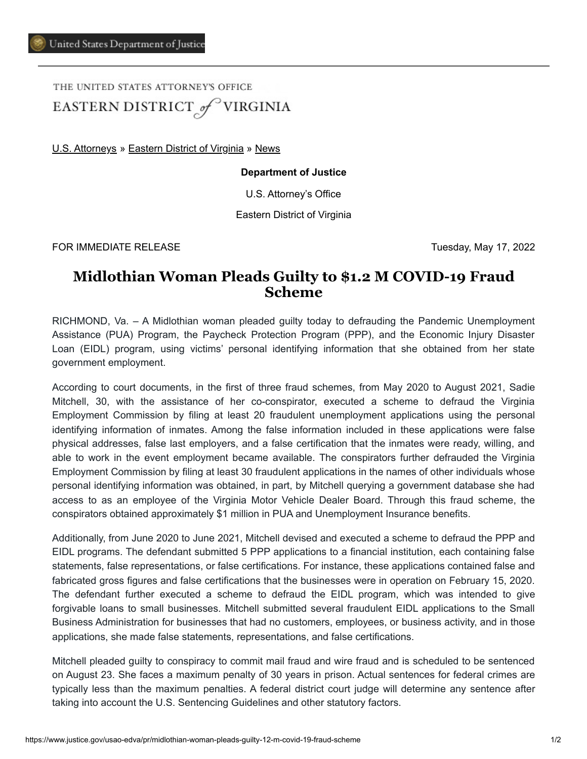THE UNITED STATES ATTORNEY'S OFFICE EASTERN DISTRICT of VIRGINIA

[U.S. Attorneys](https://www.justice.gov/usao) » [Eastern District of Virginia](https://www.justice.gov/usao-edva) » [News](https://www.justice.gov/usao-edva/pr)

## **Department of Justice**

U.S. Attorney's Office

Eastern District of Virginia

FOR IMMEDIATE RELEASE Tuesday, May 17, 2022

## **Midlothian Woman Pleads Guilty to \$1.2 M COVID-19 Fraud Scheme**

RICHMOND, Va. – A Midlothian woman pleaded guilty today to defrauding the Pandemic Unemployment Assistance (PUA) Program, the Paycheck Protection Program (PPP), and the Economic Injury Disaster Loan (EIDL) program, using victims' personal identifying information that she obtained from her state government employment.

According to court documents, in the first of three fraud schemes, from May 2020 to August 2021, Sadie Mitchell, 30, with the assistance of her co-conspirator, executed a scheme to defraud the Virginia Employment Commission by filing at least 20 fraudulent unemployment applications using the personal identifying information of inmates. Among the false information included in these applications were false physical addresses, false last employers, and a false certification that the inmates were ready, willing, and able to work in the event employment became available. The conspirators further defrauded the Virginia Employment Commission by filing at least 30 fraudulent applications in the names of other individuals whose personal identifying information was obtained, in part, by Mitchell querying a government database she had access to as an employee of the Virginia Motor Vehicle Dealer Board. Through this fraud scheme, the conspirators obtained approximately \$1 million in PUA and Unemployment Insurance benefits.

Additionally, from June 2020 to June 2021, Mitchell devised and executed a scheme to defraud the PPP and EIDL programs. The defendant submitted 5 PPP applications to a financial institution, each containing false statements, false representations, or false certifications. For instance, these applications contained false and fabricated gross figures and false certifications that the businesses were in operation on February 15, 2020. The defendant further executed a scheme to defraud the EIDL program, which was intended to give forgivable loans to small businesses. Mitchell submitted several fraudulent EIDL applications to the Small Business Administration for businesses that had no customers, employees, or business activity, and in those applications, she made false statements, representations, and false certifications.

Mitchell pleaded guilty to conspiracy to commit mail fraud and wire fraud and is scheduled to be sentenced on August 23. She faces a maximum penalty of 30 years in prison. Actual sentences for federal crimes are typically less than the maximum penalties. A federal district court judge will determine any sentence after taking into account the U.S. Sentencing Guidelines and other statutory factors.